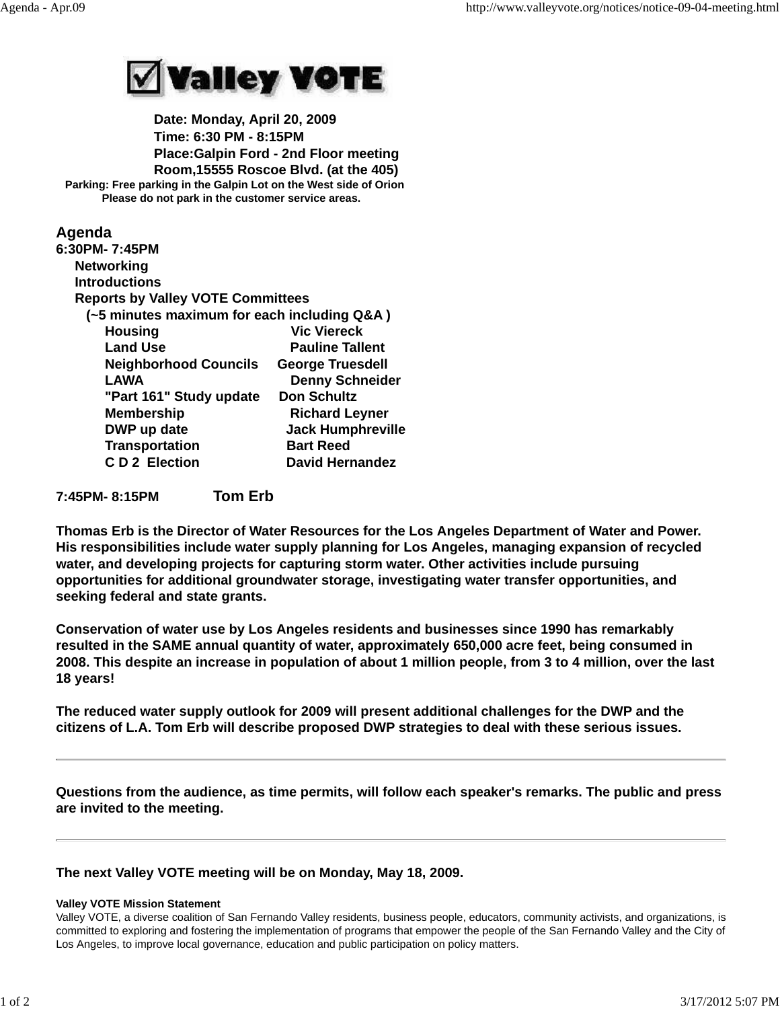

 **Date: Monday, April 20, 2009 Time: 6:30 PM - 8:15PM Place:Galpin Ford - 2nd Floor meeting Room,15555 Roscoe Blvd. (at the 405) Parking: Free parking in the Galpin Lot on the West side of Orion Please do not park in the customer service areas.**

## **Agenda**

| 6:30PM- 7:45PM                              |                          |
|---------------------------------------------|--------------------------|
| <b>Networking</b>                           |                          |
| <b>Introductions</b>                        |                          |
| <b>Reports by Valley VOTE Committees</b>    |                          |
| (~5 minutes maximum for each including Q&A) |                          |
| <b>Housing</b>                              | <b>Vic Viereck</b>       |
| <b>Land Use</b>                             | <b>Pauline Tallent</b>   |
| <b>Neighborhood Councils</b>                | <b>George Truesdell</b>  |
| <b>LAWA</b>                                 | <b>Denny Schneider</b>   |
| "Part 161" Study update                     | <b>Don Schultz</b>       |
| <b>Membership</b>                           | <b>Richard Leyner</b>    |
| DWP up date                                 | <b>Jack Humphreville</b> |
| <b>Transportation</b>                       | <b>Bart Reed</b>         |
| <b>CD2</b> Election                         | <b>David Hernandez</b>   |
|                                             |                          |

**7:45PM- 8:15PM Tom Erb**

**Thomas Erb is the Director of Water Resources for the Los Angeles Department of Water and Power. His responsibilities include water supply planning for Los Angeles, managing expansion of recycled water, and developing projects for capturing storm water. Other activities include pursuing opportunities for additional groundwater storage, investigating water transfer opportunities, and seeking federal and state grants.**

**Conservation of water use by Los Angeles residents and businesses since 1990 has remarkably resulted in the SAME annual quantity of water, approximately 650,000 acre feet, being consumed in 2008. This despite an increase in population of about 1 million people, from 3 to 4 million, over the last 18 years!**

**The reduced water supply outlook for 2009 will present additional challenges for the DWP and the citizens of L.A. Tom Erb will describe proposed DWP strategies to deal with these serious issues.**

**Questions from the audience, as time permits, will follow each speaker's remarks. The public and press are invited to the meeting.**

## **The next Valley VOTE meeting will be on Monday, May 18, 2009.**

## **Valley VOTE Mission Statement**

Valley VOTE, a diverse coalition of San Fernando Valley residents, business people, educators, community activists, and organizations, is committed to exploring and fostering the implementation of programs that empower the people of the San Fernando Valley and the City of Los Angeles, to improve local governance, education and public participation on policy matters.